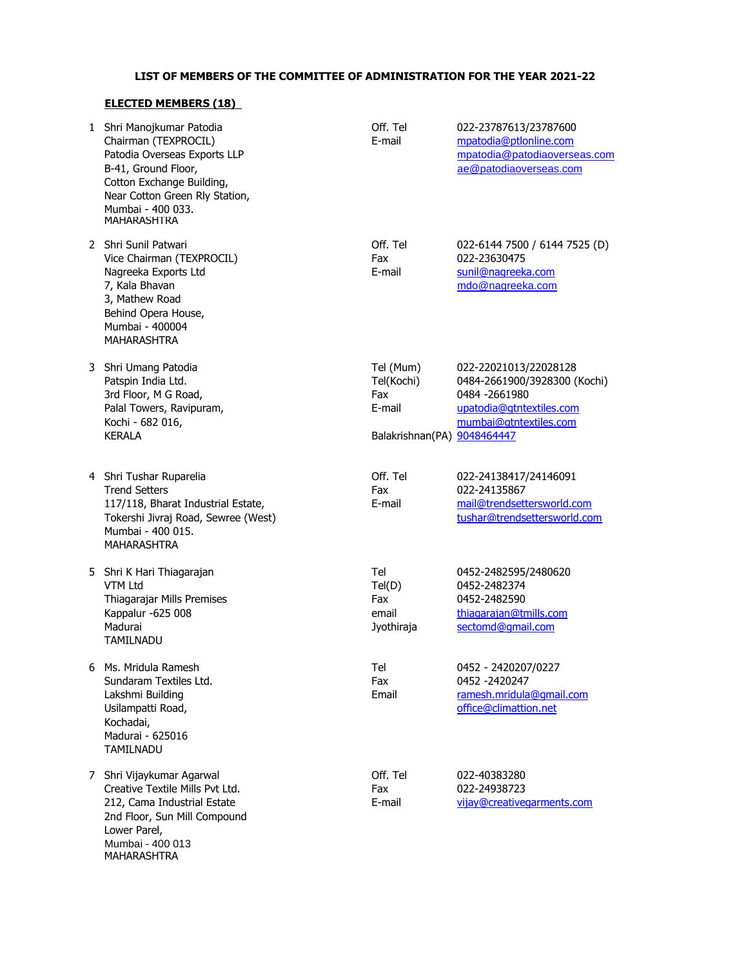## **LIST OF MEMBERS OF THE COMMITTEE OF ADMINISTRATION FOR THE YEAR 2021-22**

## **ELECTED MEMBERS (18)**

|   | 1 Shri Manojkumar Patodia<br>Chairman (TEXPROCIL)<br>Patodia Overseas Exports LLP<br>B-41, Ground Floor,<br>Cotton Exchange Building,<br>Near Cotton Green Rly Station,<br>Mumbai - 400 033.<br>MAHARASHTRA | Off. Tel<br>E-mail                                                      | 022-23787613/23787600<br>mpatodia@ptlonline.com<br>mpatodia@patodiaoverseas.com<br>ae@patodiaoverseas.com                     |
|---|-------------------------------------------------------------------------------------------------------------------------------------------------------------------------------------------------------------|-------------------------------------------------------------------------|-------------------------------------------------------------------------------------------------------------------------------|
|   | 2 Shri Sunil Patwari<br>Vice Chairman (TEXPROCIL)<br>Nagreeka Exports Ltd<br>7, Kala Bhavan<br>3, Mathew Road<br>Behind Opera House,<br>Mumbai - 400004<br><b>MAHARASHTRA</b>                               | Off. Tel<br>Fax<br>E-mail                                               | 022-6144 7500 / 6144 7525 (D)<br>022-23630475<br>sunil@nagreeka.com<br>mdo@nagreeka.com                                       |
|   | 3 Shri Umang Patodia<br>Patspin India Ltd.<br>3rd Floor, M G Road,<br>Palal Towers, Ravipuram,<br>Kochi - 682 016,<br><b>KERALA</b>                                                                         | Tel (Mum)<br>Tel(Kochi)<br>Fax<br>E-mail<br>Balakrishnan(PA) 9048464447 | 022-22021013/22028128<br>0484-2661900/3928300 (Kochi)<br>0484 - 2661980<br>upatodia@gtntextiles.com<br>mumbai@gtntextiles.com |
|   | 4 Shri Tushar Ruparelia<br><b>Trend Setters</b><br>117/118, Bharat Industrial Estate,<br>Tokershi Jivraj Road, Sewree (West)<br>Mumbai - 400 015.<br><b>MAHARASHTRA</b>                                     | Off. Tel<br>Fax<br>E-mail                                               | 022-24138417/24146091<br>022-24135867<br>mail@trendsettersworld.com<br>tushar@trendsettersworld.com                           |
|   | 5 Shri K Hari Thiagarajan<br>VTM Ltd<br>Thiagarajar Mills Premises<br>Kappalur -625 008<br>Madurai<br><b>TAMILNADU</b>                                                                                      | Tel<br>Tel(D)<br>Fax<br>email<br>Jyothiraja                             | 0452-2482595/2480620<br>0452-2482374<br>0452-2482590<br>thiagarajan@tmills.com<br>sectomd@gmail.com                           |
| 6 | Ms. Mridula Ramesh<br>Sundaram Textiles Ltd.<br>Lakshmi Building<br>Usilampatti Road,<br>Kochadai,<br>Madurai - 625016<br><b>TAMILNADU</b>                                                                  | Tel<br>Fax<br>Email                                                     | 0452 - 2420207/0227<br>0452 - 2420247<br>ramesh.mridula@qmail.com<br>office@climattion.net                                    |
|   | 7 Shri Vijaykumar Agarwal<br>Creative Textile Mills Pvt Ltd.<br>212, Cama Industrial Estate<br>2nd Floor, Sun Mill Compound<br>Lower Parel,<br>Mumbai - 400 013<br>MAHARASHTRA                              | Off. Tel<br>Fax<br>E-mail                                               | 022-40383280<br>022-24938723<br>vijay@creativegarments.com                                                                    |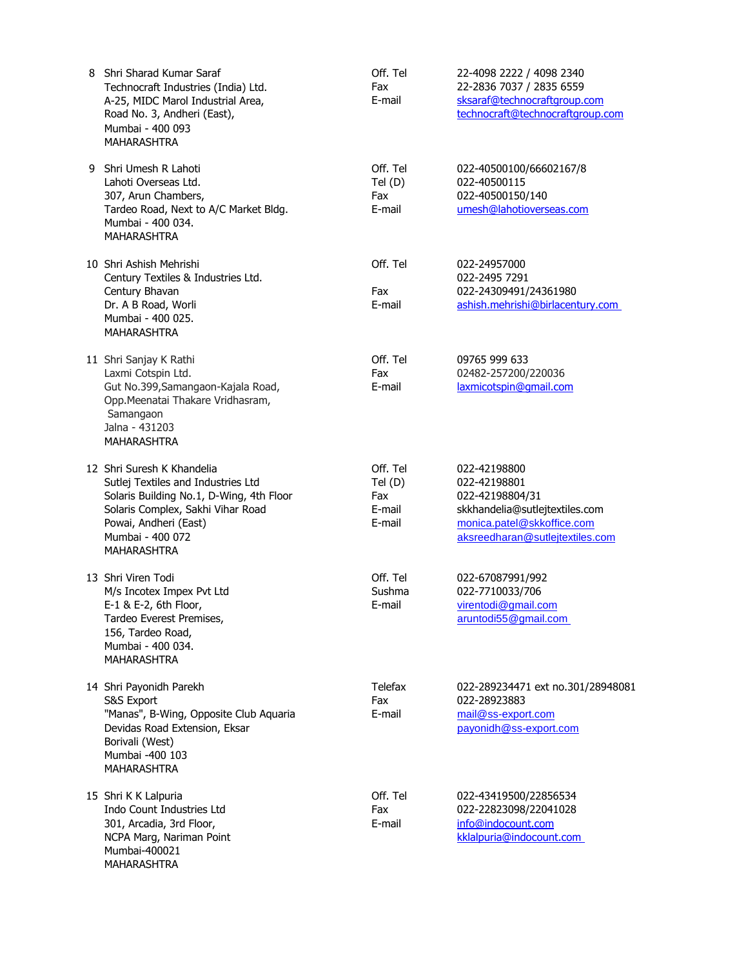| 8 | Shri Sharad Kumar Saraf<br>Technocraft Industries (India) Ltd.<br>A-25, MIDC Marol Industrial Area,<br>Road No. 3, Andheri (East),<br>Mumbai - 400 093<br><b>MAHARASHTRA</b>                                         | Off. Tel<br>Fax<br>E-mail                     | 22-4098 2222 / 4098 2340<br>22-2836 7037 / 2835 6559<br>sksaraf@technocraftgroup.com<br>technocraft@technocraftgroup.com                           |
|---|----------------------------------------------------------------------------------------------------------------------------------------------------------------------------------------------------------------------|-----------------------------------------------|----------------------------------------------------------------------------------------------------------------------------------------------------|
|   | 9 Shri Umesh R Lahoti<br>Lahoti Overseas Ltd.<br>307, Arun Chambers,<br>Tardeo Road, Next to A/C Market Bldg.<br>Mumbai - 400 034.<br>MAHARASHTRA                                                                    | Off. Tel<br>Tel(D)<br>Fax<br>E-mail           | 022-40500100/66602167/8<br>022-40500115<br>022-40500150/140<br>umesh@lahotioverseas.com                                                            |
|   | 10 Shri Ashish Mehrishi<br>Century Textiles & Industries Ltd.<br>Century Bhavan<br>Dr. A B Road, Worli<br>Mumbai - 400 025.<br><b>MAHARASHTRA</b>                                                                    | Off. Tel<br>Fax<br>E-mail                     | 022-24957000<br>022-2495 7291<br>022-24309491/24361980<br>ashish.mehrishi@birlacentury.com                                                         |
|   | 11 Shri Sanjay K Rathi<br>Laxmi Cotspin Ltd.<br>Gut No.399, Samangaon-Kajala Road,<br>Opp. Meenatai Thakare Vridhasram,<br>Samangaon<br>Jalna - 431203<br><b>MAHARASHTRA</b>                                         | Off. Tel<br>Fax<br>E-mail                     | 09765 999 633<br>02482-257200/220036<br>laxmicotspin@qmail.com                                                                                     |
|   | 12 Shri Suresh K Khandelia<br>Sutlej Textiles and Industries Ltd<br>Solaris Building No.1, D-Wing, 4th Floor<br>Solaris Complex, Sakhi Vihar Road<br>Powai, Andheri (East)<br>Mumbai - 400 072<br><b>MAHARASHTRA</b> | Off. Tel<br>Tel(D)<br>Fax<br>E-mail<br>E-mail | 022-42198800<br>022-42198801<br>022-42198804/31<br>skkhandelia@sutlejtextiles.com<br>monica.patel@skkoffice.com<br>aksreedharan@sutlejtextiles.com |
|   | 13 Shri Viren Todi<br>M/s Incotex Impex Pvt Ltd<br>E-1 & E-2, 6th Floor,<br>Tardeo Everest Premises,<br>156, Tardeo Road,<br>Mumbai - 400 034.<br><b>MAHARASHTRA</b>                                                 | Off. Tel<br>Sushma<br>E-mail                  | 022-67087991/992<br>022-7710033/706<br>virentodi@gmail.com<br>aruntodi55@gmail.com                                                                 |
|   | 14 Shri Payonidh Parekh<br>S&S Export<br>"Manas", B-Wing, Opposite Club Aquaria<br>Devidas Road Extension, Eksar<br>Borivali (West)<br>Mumbai -400 103<br><b>MAHARASHTRA</b>                                         | <b>Telefax</b><br>Fax<br>E-mail               | 022-289234471 ext no.301/28948081<br>022-28923883<br>mail@ss-export.com<br>payonidh@ss-export.com                                                  |
|   | 15 Shri K K Lalpuria<br>Indo Count Industries Ltd<br>301, Arcadia, 3rd Floor,<br>NCPA Marg, Nariman Point<br>Mumbai-400021<br>MAHARASHTRA                                                                            | Off. Tel<br>Fax<br>E-mail                     | 022-43419500/22856534<br>022-22823098/22041028<br>info@indocount.com<br>kklalpuria@indocount.com                                                   |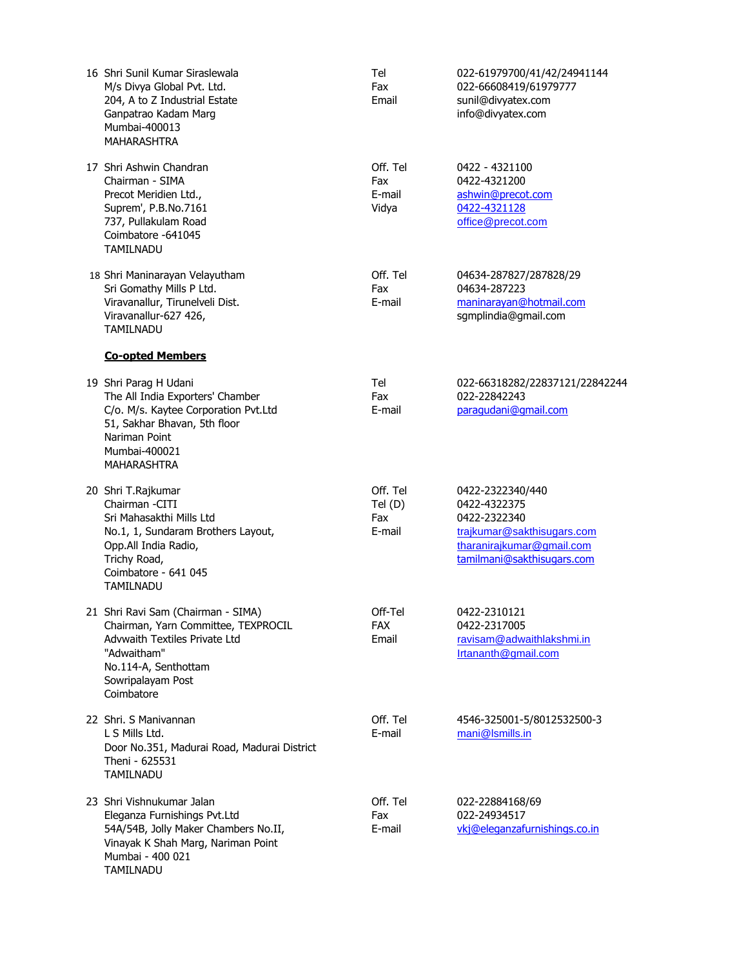| 16 Shri Sunil Kumar Siraslewala<br>M/s Divya Global Pvt. Ltd.<br>204, A to Z Industrial Estate<br>Ganpatrao Kadam Marg<br>Mumbai-400013<br>MAHARASHTRA                                      | Tel<br>Fax<br>Email                 | 022-61979700/41/42/24941144<br>022-66608419/61979777<br>sunil@divyatex.com<br>info@divyatex.com                                           |
|---------------------------------------------------------------------------------------------------------------------------------------------------------------------------------------------|-------------------------------------|-------------------------------------------------------------------------------------------------------------------------------------------|
| 17 Shri Ashwin Chandran<br>Chairman - SIMA<br>Precot Meridien Ltd.,<br>Suprem', P.B.No.7161<br>737, Pullakulam Road<br>Coimbatore -641045<br><b>TAMILNADU</b>                               | Off. Tel<br>Fax<br>E-mail<br>Vidya  | 0422 - 4321100<br>0422-4321200<br>ashwin@precot.com<br>0422-4321128<br>office@precot.com                                                  |
| 18 Shri Maninarayan Velayutham<br>Sri Gomathy Mills P Ltd.<br>Viravanallur, Tirunelveli Dist.<br>Viravanallur-627 426,<br><b>TAMILNADU</b>                                                  | Off. Tel<br>Fax<br>E-mail           | 04634-287827/287828/29<br>04634-287223<br>maninarayan@hotmail.com<br>sgmplindia@gmail.com                                                 |
| <b>Co-opted Members</b>                                                                                                                                                                     |                                     |                                                                                                                                           |
| 19 Shri Parag H Udani<br>The All India Exporters' Chamber<br>C/o. M/s. Kaytee Corporation Pvt.Ltd<br>51, Sakhar Bhavan, 5th floor<br>Nariman Point<br>Mumbai-400021<br><b>MAHARASHTRA</b>   | Tel<br>Fax<br>E-mail                | 022-66318282/22837121/22842244<br>022-22842243<br>paraqudani@qmail.com                                                                    |
| 20 Shri T.Rajkumar<br>Chairman - CITI<br>Sri Mahasakthi Mills Ltd<br>No.1, 1, Sundaram Brothers Layout,<br>Opp.All India Radio,<br>Trichy Road,<br>Coimbatore - 641 045<br><b>TAMILNADU</b> | Off. Tel<br>Tel(D)<br>Fax<br>E-mail | 0422-2322340/440<br>0422-4322375<br>0422-2322340<br>trajkumar@sakthisugars.com<br>tharanirajkumar@gmail.com<br>tamilmani@sakthisugars.com |
| 21 Shri Ravi Sam (Chairman - SIMA)<br>Chairman, Yarn Committee, TEXPROCIL<br>Advwaith Textiles Private Ltd<br>"Adwaitham"<br>No.114-A, Senthottam<br>Sowripalayam Post<br>Coimbatore        | Off-Tel<br><b>FAX</b><br>Email      | 0422-2310121<br>0422-2317005<br>ravisam@adwaithlakshmi.in<br>Irtananth@gmail.com                                                          |
| 22 Shri, S Maniyannan<br>L S Mills Ltd.<br>Door No.351, Madurai Road, Madurai District<br>Theni - 625531<br>TAMILNADU                                                                       | Off. Tel<br>E-mail                  | 4546-325001-5/8012532500-3<br>mani@Ismills.in                                                                                             |
| 23 Shri Vishnukumar Jalan<br>Eleganza Furnishings Pvt.Ltd<br>54A/54B, Jolly Maker Chambers No.II,<br>Vinayak K Shah Marg, Nariman Point<br>Mumbai - 400 021<br>TAMILNADU                    | Off. Tel<br>Fax<br>E-mail           | 022-22884168/69<br>022-24934517<br>vkj@eleganzafurnishings.co.in                                                                          |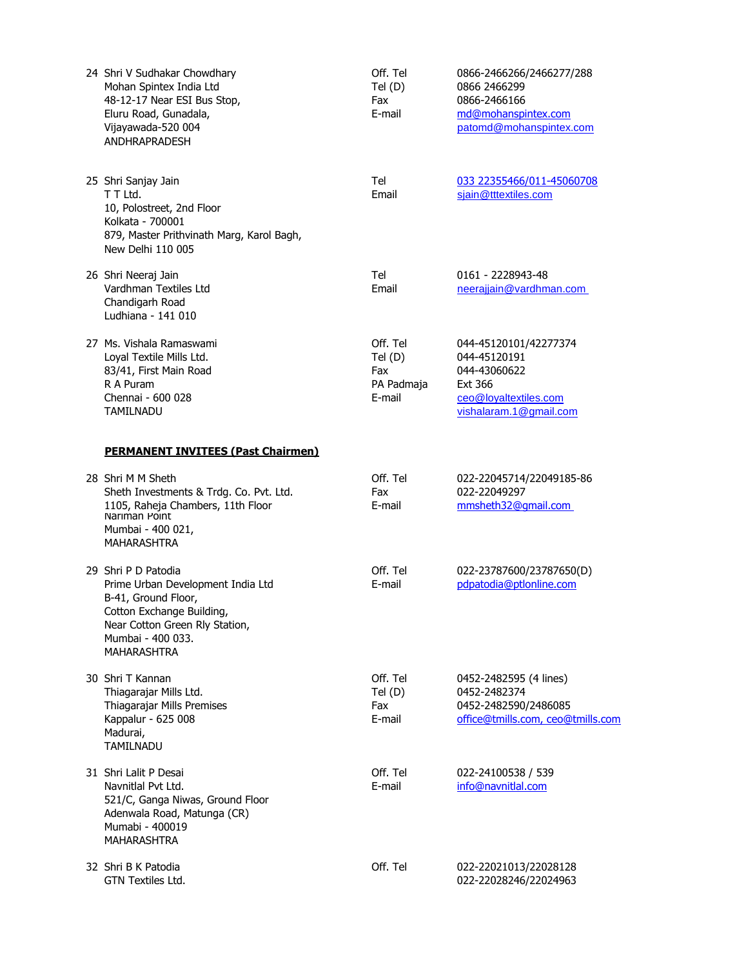| 24 Shri V Sudhakar Chowdhary<br>Mohan Spintex India Ltd<br>48-12-17 Near ESI Bus Stop,<br>Eluru Road, Gunadala,<br>Vijayawada-520 004<br><b>ANDHRAPRADESH</b>                             | Off. Tel<br>Tel(D)<br>Fax<br>E-mail               | 0866-2466266/2466277/288<br>0866 2466299<br>0866-2466166<br>md@mohanspintex.com<br>patomd@mohanspintex.com          |
|-------------------------------------------------------------------------------------------------------------------------------------------------------------------------------------------|---------------------------------------------------|---------------------------------------------------------------------------------------------------------------------|
| 25 Shri Sanjay Jain<br>T T Ltd.<br>10, Polostreet, 2nd Floor<br>Kolkata - 700001<br>879, Master Prithvinath Marg, Karol Bagh,<br>New Delhi 110 005                                        | Tel<br>Email                                      | 033 22355466/011-45060708<br>sjain@tttextiles.com                                                                   |
| 26 Shri Neeraj Jain<br>Vardhman Textiles Ltd<br>Chandigarh Road<br>Ludhiana - 141 010                                                                                                     | Tel<br>Email                                      | 0161 - 2228943-48<br>neerajjain@vardhman.com                                                                        |
| 27 Ms. Vishala Ramaswami<br>Loyal Textile Mills Ltd.<br>83/41, First Main Road<br>R A Puram<br>Chennai - 600 028<br>TAMILNADU                                                             | Off. Tel<br>Tel(D)<br>Fax<br>PA Padmaja<br>E-mail | 044-45120101/42277374<br>044-45120191<br>044-43060622<br>Ext 366<br>ceo@loyaltextiles.com<br>vishalaram.1@gmail.com |
| <b>PERMANENT INVITEES (Past Chairmen)</b>                                                                                                                                                 |                                                   |                                                                                                                     |
| 28 Shri M M Sheth<br>Sheth Investments & Trdg. Co. Pvt. Ltd.<br>1105, Raheja Chambers, 11th Floor<br>Narıman Point<br>Mumbai - 400 021,<br><b>MAHARASHTRA</b>                             | Off. Tel<br>Fax<br>E-mail                         | 022-22045714/22049185-86<br>022-22049297<br>mmsheth32@qmail.com                                                     |
| 29 Shri P D Patodia<br>Prime Urban Development India Ltd<br>B-41, Ground Floor,<br>Cotton Exchange Building,<br>Near Cotton Green Rly Station,<br>Mumbai - 400 033.<br><b>MAHARASHTRA</b> | Off. Tel<br>E-mail                                | 022-23787600/23787650(D)<br>pdpatodia@ptlonline.com                                                                 |
| 30 Shri T Kannan<br>Thiagarajar Mills Ltd.<br>Thiagarajar Mills Premises<br>Kappalur - 625 008<br>Madurai,<br><b>TAMILNADU</b>                                                            | Off. Tel<br>Tel(D)<br>Fax<br>E-mail               | 0452-2482595 (4 lines)<br>0452-2482374<br>0452-2482590/2486085<br>office@tmills.com, ceo@tmills.com                 |
| 31 Shri Lalit P Desai<br>Navnitlal Pvt Ltd.<br>521/C, Ganga Niwas, Ground Floor<br>Adenwala Road, Matunga (CR)<br>Mumabi - 400019<br><b>MAHARASHTRA</b>                                   | Off. Tel<br>E-mail                                | 022-24100538 / 539<br>info@navnitlal.com                                                                            |
| 32 Shri B K Patodia<br>GTN Textiles Ltd.                                                                                                                                                  | Off. Tel                                          | 022-22021013/22028128<br>022-22028246/22024963                                                                      |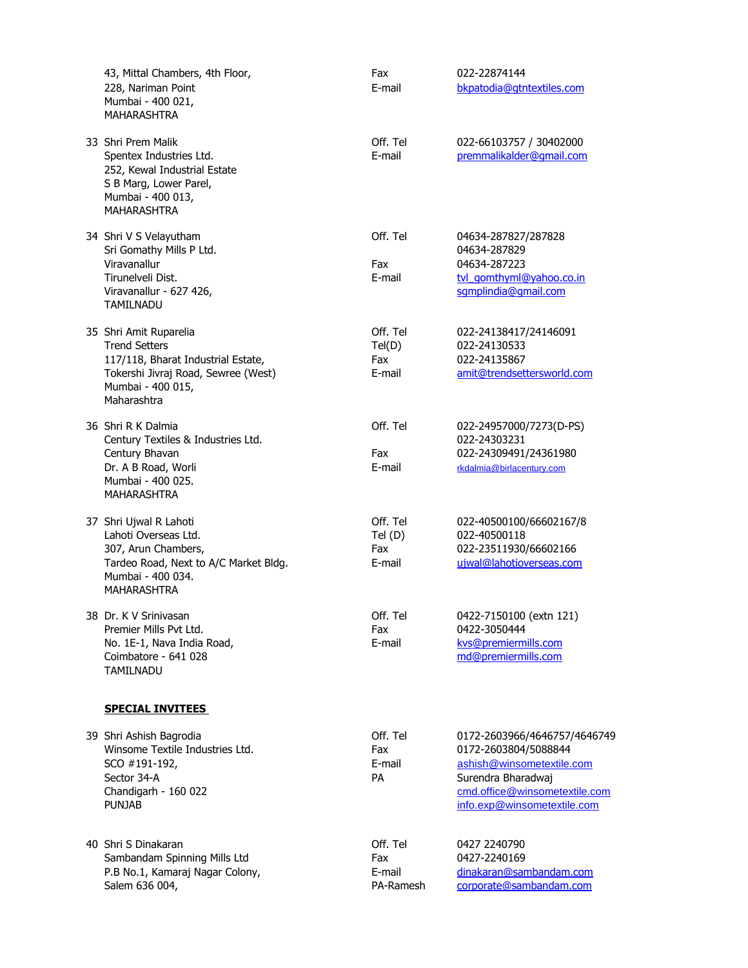| 43, Mittal Chambers, 4th Floor,<br>228, Nariman Point<br>Mumbai - 400 021,<br><b>MAHARASHTRA</b>                                                                | Fax<br>E-mail                          | 022-22874144<br>bkpatodia@qtntextiles.com                                                                                                                               |
|-----------------------------------------------------------------------------------------------------------------------------------------------------------------|----------------------------------------|-------------------------------------------------------------------------------------------------------------------------------------------------------------------------|
| 33 Shri Prem Malik<br>Spentex Industries Ltd.<br>252, Kewal Industrial Estate<br>S B Marg, Lower Parel,<br>Mumbai - 400 013,<br><b>MAHARASHTRA</b>              | Off. Tel<br>E-mail                     | 022-66103757 / 30402000<br>premmalikalder@gmail.com                                                                                                                     |
| 34 Shri V S Velayutham<br>Sri Gomathy Mills P Ltd.<br>Viravanallur<br>Tirunelveli Dist.<br>Viravanallur - 627 426,<br><b>TAMILNADU</b>                          | Off. Tel<br>Fax<br>E-mail              | 04634-287827/287828<br>04634-287829<br>04634-287223<br>tvl gomthyml@yahoo.co.in<br>sqmplindia@qmail.com                                                                 |
| 35 Shri Amit Ruparelia<br><b>Trend Setters</b><br>117/118, Bharat Industrial Estate,<br>Tokershi Jivraj Road, Sewree (West)<br>Mumbai - 400 015,<br>Maharashtra | Off. Tel<br>Tel(D)<br>Fax<br>E-mail    | 022-24138417/24146091<br>022-24130533<br>022-24135867<br>amit@trendsettersworld.com                                                                                     |
| 36 Shri R K Dalmia<br>Century Textiles & Industries Ltd.<br>Century Bhavan<br>Dr. A B Road, Worli<br>Mumbai - 400 025.<br><b>MAHARASHTRA</b>                    | Off. Tel<br>Fax<br>E-mail              | 022-24957000/7273(D-PS)<br>022-24303231<br>022-24309491/24361980<br>rkdalmia@birlacentury.com                                                                           |
| 37 Shri Ujwal R Lahoti<br>Lahoti Overseas Ltd.<br>307, Arun Chambers,<br>Tardeo Road, Next to A/C Market Bldg.<br>Mumbai - 400 034.<br><b>MAHARASHTRA</b>       | Off. Tel<br>Tel(D)<br>Fax<br>E-mail    | 022-40500100/66602167/8<br>022-40500118<br>022-23511930/66602166<br>ujwal@lahotioverseas.com                                                                            |
| 38 Dr. K V Srinivasan<br>Premier Mills Pvt Ltd.<br>No. 1E-1, Nava India Road,<br>Coimbatore - 641 028<br><b>TAMILNADU</b>                                       | Off. Tel<br>Fax<br>E-mail              | 0422-7150100 (extn 121)<br>0422-3050444<br>kvs@premiermills.com<br>md@premiermills.com                                                                                  |
| <b>SPECIAL INVITEES</b>                                                                                                                                         |                                        |                                                                                                                                                                         |
| 39 Shri Ashish Bagrodia<br>Winsome Textile Industries Ltd.<br>SCO #191-192,<br>Sector 34-A<br>Chandigarh - 160 022<br><b>PUNJAB</b>                             | Off. Tel<br>Fax<br>E-mail<br>PA.       | 0172-2603966/4646757/4646749<br>0172-2603804/5088844<br>ashish@winsometextile.com<br>Surendra Bharadwaj<br>cmd.office@winsometextile.com<br>info.exp@winsometextile.com |
| 40 Shri S Dinakaran<br>Sambandam Spinning Mills Ltd<br>P.B No.1, Kamaraj Nagar Colony,<br>Salem 636 004,                                                        | Off. Tel<br>Fax<br>E-mail<br>PA-Ramesh | 0427 2240790<br>0427-2240169<br>dinakaran@sambandam.com<br>corporate@sambandam.com                                                                                      |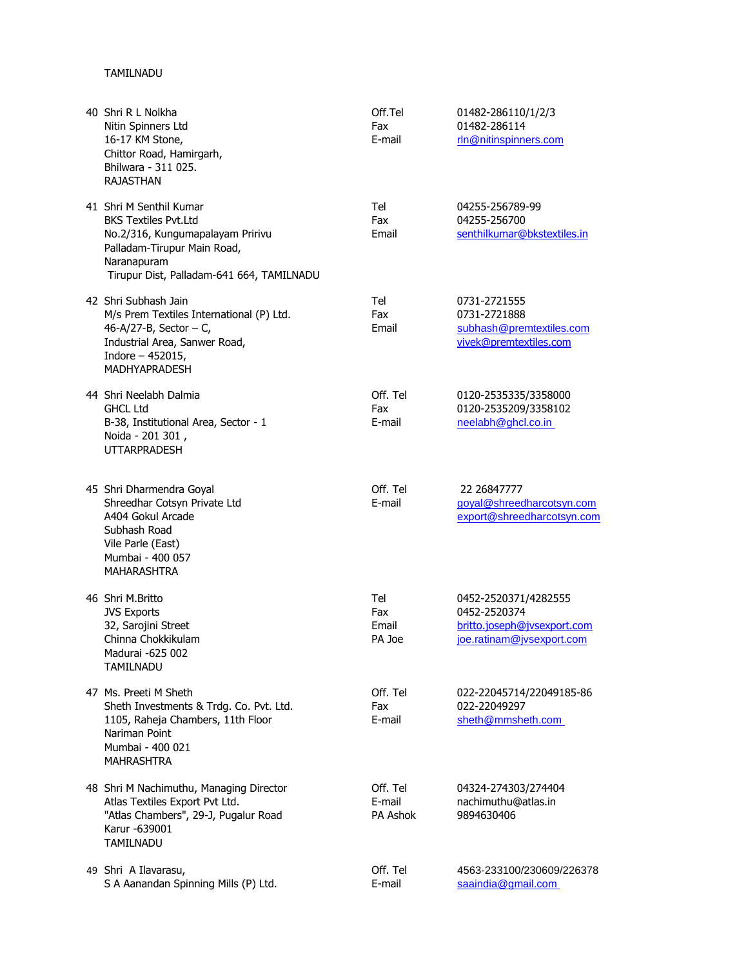## TAMILNADU

| 40 Shri R L Nolkha<br>Nitin Spinners Ltd<br>16-17 KM Stone,<br>Chittor Road, Hamirgarh,<br>Bhilwara - 311 025.<br><b>RAJASTHAN</b>                                                    | Off.Tel<br>Fax<br>E-mail       | 01482-286110/1/2/3<br>01482-286114<br>rln@nitinspinners.com                                      |
|---------------------------------------------------------------------------------------------------------------------------------------------------------------------------------------|--------------------------------|--------------------------------------------------------------------------------------------------|
| 41 Shri M Senthil Kumar<br><b>BKS Textiles Pvt.Ltd</b><br>No.2/316, Kungumapalayam Pririvu<br>Palladam-Tirupur Main Road,<br>Naranapuram<br>Tirupur Dist, Palladam-641 664, TAMILNADU | Tel<br>Fax<br>Email            | 04255-256789-99<br>04255-256700<br>senthilkumar@bkstextiles.in                                   |
| 42 Shri Subhash Jain<br>M/s Prem Textiles International (P) Ltd.<br>46-A/27-B, Sector $-$ C,<br>Industrial Area, Sanwer Road,<br>Indore $-452015$ ,<br><b>MADHYAPRADESH</b>           | Tel<br>Fax<br>Email            | 0731-2721555<br>0731-2721888<br>subhash@premtextiles.com<br>vivek@premtextiles.com               |
| 44 Shri Neelabh Dalmia<br><b>GHCL Ltd</b><br>B-38, Institutional Area, Sector - 1<br>Noida - 201 301,<br><b>UTTARPRADESH</b>                                                          | Off. Tel<br>Fax<br>E-mail      | 0120-2535335/3358000<br>0120-2535209/3358102<br>neelabh@ghcl.co.in                               |
| 45 Shri Dharmendra Goyal<br>Shreedhar Cotsyn Private Ltd<br>A404 Gokul Arcade<br>Subhash Road<br>Vile Parle (East)<br>Mumbai - 400 057<br><b>MAHARASHTRA</b>                          | Off. Tel<br>E-mail             | 22 26847777<br>goyal@shreedharcotsyn.com<br>export@shreedharcotsyn.com                           |
| 46 Shri M.Britto<br><b>JVS Exports</b><br>32, Sarojini Street<br>Chinna Chokkikulam<br>Madurai -625 002<br>TAMILNADU                                                                  | Tel<br>Fax<br>Email<br>PA Joe  | 0452-2520371/4282555<br>0452-2520374<br>britto.joseph@jvsexport.com<br>joe.ratinam@jvsexport.com |
| 47 Ms. Preeti M Sheth<br>Sheth Investments & Trdg. Co. Pvt. Ltd.<br>1105, Raheja Chambers, 11th Floor<br>Nariman Point<br>Mumbai - 400 021<br><b>MAHRASHTRA</b>                       | Off. Tel<br>Fax<br>E-mail      | 022-22045714/22049185-86<br>022-22049297<br>sheth@mmsheth.com                                    |
| 48 Shri M Nachimuthu, Managing Director<br>Atlas Textiles Export Pvt Ltd.<br>"Atlas Chambers", 29-J, Pugalur Road<br>Karur -639001<br>TAMILNADU                                       | Off. Tel<br>E-mail<br>PA Ashok | 04324-274303/274404<br>nachimuthu@atlas.in<br>9894630406                                         |
| 49 Shri A Ilavarasu,<br>S A Aanandan Spinning Mills (P) Ltd.                                                                                                                          | Off. Tel<br>E-mail             | 4563-233100/230609/226378<br>saaindia@gmail.com                                                  |